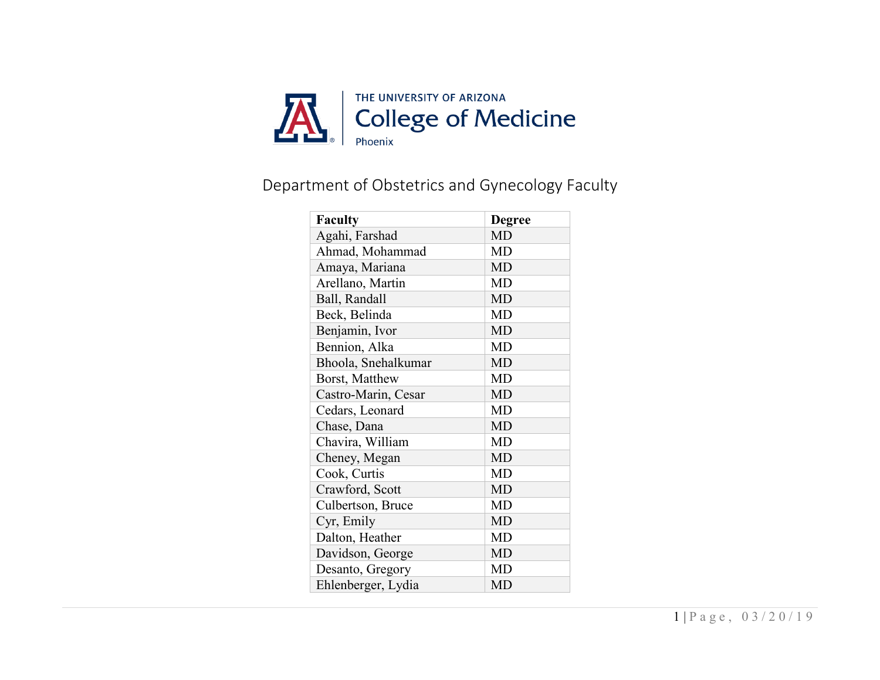

## Department of Obstetrics and Gynecology Faculty

| <b>Faculty</b>      | <b>Degree</b> |
|---------------------|---------------|
| Agahi, Farshad      | MD            |
| Ahmad, Mohammad     | <b>MD</b>     |
| Amaya, Mariana      | <b>MD</b>     |
| Arellano, Martin    | MD            |
| Ball, Randall       | <b>MD</b>     |
| Beck, Belinda       | <b>MD</b>     |
| Benjamin, Ivor      | <b>MD</b>     |
| Bennion, Alka       | <b>MD</b>     |
| Bhoola, Snehalkumar | <b>MD</b>     |
| Borst, Matthew      | <b>MD</b>     |
| Castro-Marin, Cesar | <b>MD</b>     |
| Cedars, Leonard     | <b>MD</b>     |
| Chase, Dana         | <b>MD</b>     |
| Chavira, William    | <b>MD</b>     |
| Cheney, Megan       | <b>MD</b>     |
| Cook, Curtis        | <b>MD</b>     |
| Crawford, Scott     | <b>MD</b>     |
| Culbertson, Bruce   | MD            |
| Cyr, Emily          | <b>MD</b>     |
| Dalton, Heather     | MD            |
| Davidson, George    | <b>MD</b>     |
| Desanto, Gregory    | MD            |
| Ehlenberger, Lydia  | MD            |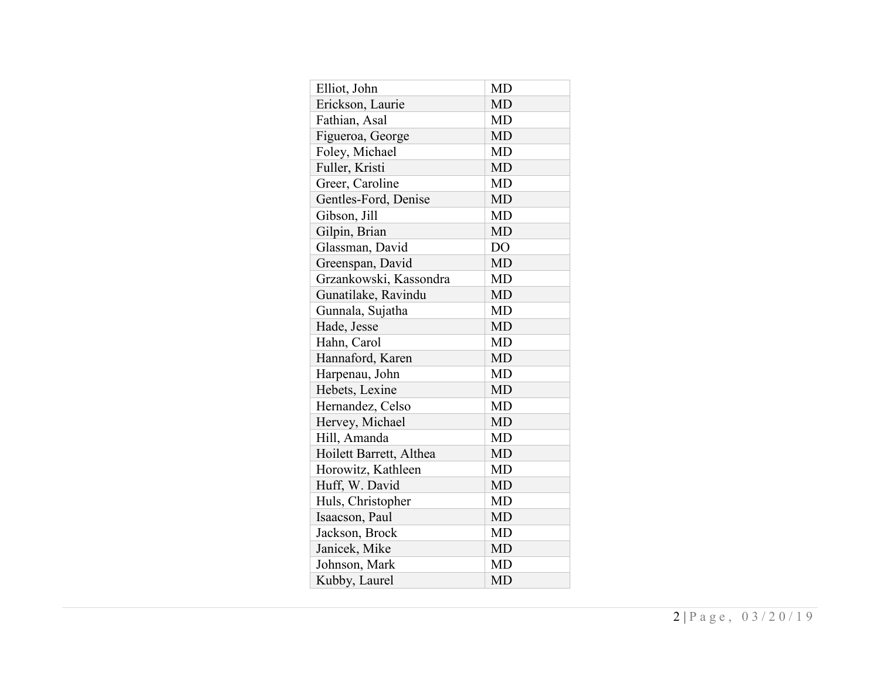| Elliot, John            | <b>MD</b>      |
|-------------------------|----------------|
| Erickson, Laurie        | <b>MD</b>      |
| Fathian, Asal           | <b>MD</b>      |
| Figueroa, George        | <b>MD</b>      |
| Foley, Michael          | <b>MD</b>      |
| Fuller, Kristi          | <b>MD</b>      |
| Greer, Caroline         | <b>MD</b>      |
| Gentles-Ford, Denise    | <b>MD</b>      |
| Gibson, Jill            | <b>MD</b>      |
| Gilpin, Brian           | <b>MD</b>      |
| Glassman, David         | D <sub>O</sub> |
| Greenspan, David        | <b>MD</b>      |
| Grzankowski, Kassondra  | <b>MD</b>      |
| Gunatilake, Ravindu     | <b>MD</b>      |
| Gunnala, Sujatha        | MD             |
| Hade, Jesse             | <b>MD</b>      |
| Hahn, Carol             | <b>MD</b>      |
| Hannaford, Karen        | <b>MD</b>      |
| Harpenau, John          | <b>MD</b>      |
| Hebets, Lexine          | <b>MD</b>      |
| Hernandez, Celso        | MD             |
| Hervey, Michael         | <b>MD</b>      |
| Hill, Amanda            | <b>MD</b>      |
| Hoilett Barrett, Althea | <b>MD</b>      |
| Horowitz, Kathleen      | <b>MD</b>      |
| Huff, W. David          | <b>MD</b>      |
| Huls, Christopher       | MD             |
| Isaacson, Paul          | MD             |
| Jackson, Brock          | MD             |
| Janicek, Mike           | <b>MD</b>      |
| Johnson, Mark           | MD             |
| Kubby, Laurel           | <b>MD</b>      |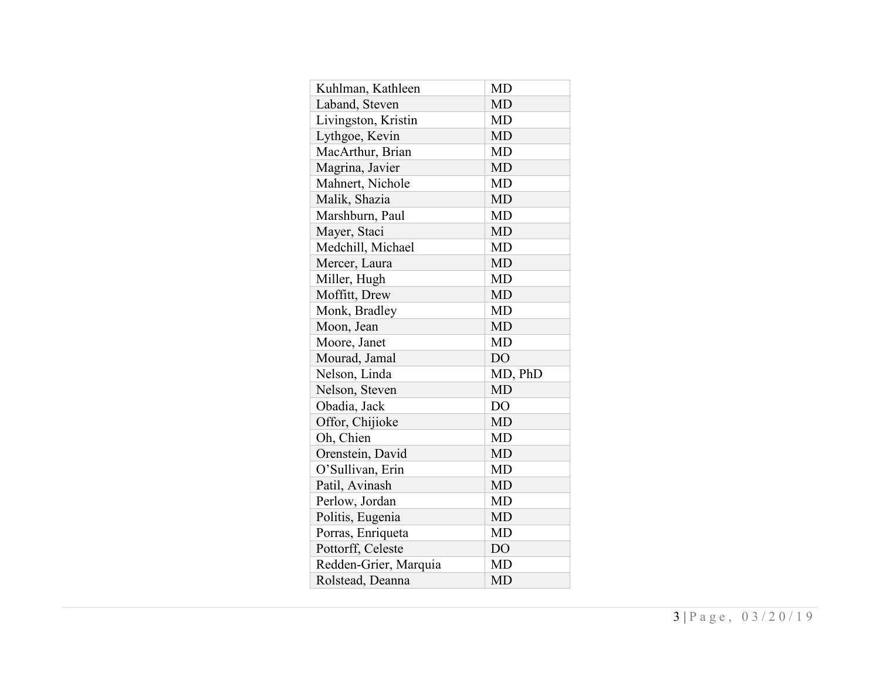| Kuhlman, Kathleen     | <b>MD</b>      |
|-----------------------|----------------|
| Laband, Steven        | <b>MD</b>      |
| Livingston, Kristin   | MD             |
| Lythgoe, Kevin        | <b>MD</b>      |
| MacArthur, Brian      | <b>MD</b>      |
| Magrina, Javier       | <b>MD</b>      |
| Mahnert, Nichole      | <b>MD</b>      |
| Malik, Shazia         | <b>MD</b>      |
| Marshburn, Paul       | <b>MD</b>      |
| Mayer, Staci          | <b>MD</b>      |
| Medchill, Michael     | <b>MD</b>      |
| Mercer, Laura         | <b>MD</b>      |
| Miller, Hugh          | <b>MD</b>      |
| Moffitt, Drew         | <b>MD</b>      |
| Monk, Bradley         | <b>MD</b>      |
| Moon, Jean            | <b>MD</b>      |
| Moore, Janet          | <b>MD</b>      |
| Mourad, Jamal         | DO             |
| Nelson, Linda         | MD, PhD        |
| Nelson, Steven        | <b>MD</b>      |
| Obadia, Jack          | <b>DO</b>      |
| Offor, Chijioke       | <b>MD</b>      |
| Oh, Chien             | <b>MD</b>      |
| Orenstein, David      | <b>MD</b>      |
| O'Sullivan, Erin      | MD             |
| Patil, Avinash        | <b>MD</b>      |
| Perlow, Jordan        | <b>MD</b>      |
| Politis, Eugenia      | <b>MD</b>      |
| Porras, Enriqueta     | <b>MD</b>      |
| Pottorff, Celeste     | D <sub>O</sub> |
| Redden-Grier, Marquia | <b>MD</b>      |
| Rolstead, Deanna      | <b>MD</b>      |
|                       |                |